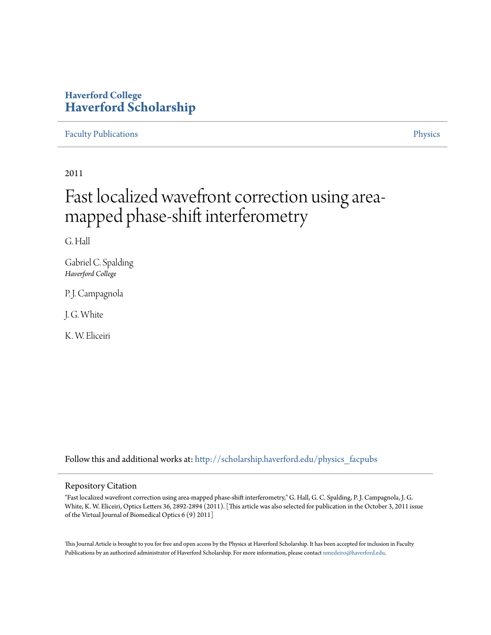### **Haverford College [Haverford Scholarship](http://scholarship.haverford.edu?utm_source=scholarship.haverford.edu%2Fphysics_facpubs%2F619&utm_medium=PDF&utm_campaign=PDFCoverPages)**

#### [Faculty Publications](http://scholarship.haverford.edu/physics_facpubs?utm_source=scholarship.haverford.edu%2Fphysics_facpubs%2F619&utm_medium=PDF&utm_campaign=PDFCoverPages) **[Physics](http://scholarship.haverford.edu/physics?utm_source=scholarship.haverford.edu%2Fphysics_facpubs%2F619&utm_medium=PDF&utm_campaign=PDFCoverPages)**

2011

# Fast localized wavefront correction using areamapped phase-shift interferometry

G. Hall

Gabriel C. Spalding *Haverford College*

P.J. Campagnola

J. G. White

K. W. Eliceiri

Follow this and additional works at: [http://scholarship.haverford.edu/physics\\_facpubs](http://scholarship.haverford.edu/physics_facpubs?utm_source=scholarship.haverford.edu%2Fphysics_facpubs%2F619&utm_medium=PDF&utm_campaign=PDFCoverPages)

#### Repository Citation

"Fast localized wavefront correction using area-mapped phase-shift interferometry," G. Hall, G. C. Spalding, P. J. Campagnola, J. G. White, K. W. Eliceiri, Optics Letters 36, 2892-2894 (2011). [This article was also selected for publication in the October 3, 2011 issue of the Virtual Journal of Biomedical Optics 6 (9) 2011]

This Journal Article is brought to you for free and open access by the Physics at Haverford Scholarship. It has been accepted for inclusion in Faculty Publications by an authorized administrator of Haverford Scholarship. For more information, please contact [nmedeiro@haverford.edu](mailto:nmedeiro@haverford.edu).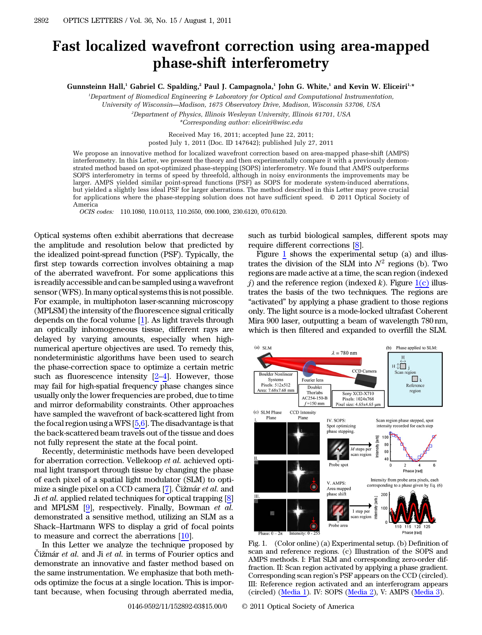## Fast localized wavefront correction using area-mapped phase-shift interferometry

Gunnsteinn Hall,<sup>1</sup> Gabriel C. Spalding,<sup>2</sup> Paul J. Campagnola,<sup>1</sup> John G. White,<sup>1</sup> and Kevin W. Eliceiri<sup>1,\*</sup>

1 Department of Biomedical Engineering & Laboratory for Optical and Computational Instrumentation, University of Wisconsin*—*Madison, 1675 Observatory Drive, Madison, Wisconsin 53706, USA

 $^2$ Department of Physics, Illinois Wesleyan University, Illinois 61701, USA

\*Corresponding author: eliceiri@wisc.edu

Received May 16, 2011; accepted June 22, 2011;

posted July 1, 2011 (Doc. ID 147642); published July 27, 2011

We propose an innovative method for localized wavefront correction based on area-mapped phase-shift (AMPS) interferometry. In this Letter, we present the theory and then experimentally compare it with a previously demonstrated method based on spot-optimized phase-stepping (SOPS) interferometry. We found that AMPS outperforms SOPS interferometry in terms of speed by threefold, although in noisy environments the improvements may be larger. AMPS yielded similar point-spread functions (PSF) as SOPS for moderate system-induced aberrations, but yielded a slightly less ideal PSF for larger aberrations. The method described in this Letter may prove crucial for applications where the phase-stepping solution does not have sufficient speed. © 2011 Optical Society of America

OCIS codes: 110.1080, 110.0113, 110.2650, 090.1000, 230.6120, 070.6120.

Optical systems often exhibit aberrations that decrease the amplitude and resolution below that predicted by the idealized point-spread function (PSF). Typically, the first step towards correction involves obtaining a map of the aberrated wavefront. For some applications this is readily accessible and can be sampled using a wavefront sensor (WFS). In many optical systems this is not possible. For example, in multiphoton laser-scanning microscopy (MPLSM) the intensity of the fluorescence signal critically depends on the focal volume [1]. As light travels through an optically inhomogeneous tissue, different rays are delayed by varying amounts, especially when highnumerical aperture objectives are used. To remedy this, nondeterministic algorithms have been used to search the phase-correction space to optimize a certain metric such as fluorescence intensity  $[2-4]$ . However, those may fail for high-spatial frequency phase changes since usually only the lower frequencies are probed, due to time and mirror deformability constraints. Other approaches have sampled the wavefront of back-scattered light from the focal region using a WFS  $[5,6]$ . The disadvantage is that the back-scattered beam travels out of the tissue and does not fully represent the state at the focal point.

Recently, deterministic methods have been developed for aberration correction. Vellekoop et al. achieved optimal light transport through tissue by changing the phase of each pixel of a spatial light modulator (SLM) to optimize a single pixel on a CCD camera [7]. Čižmár et al. and Ji *et al.* applied related techniques for optical trapping [8] and MPLSM [9], respectively. Finally, Bowman et al. demonstrated a sensitive method, utilizing an SLM as a Shack–Hartmann WFS to display a grid of focal points to measure and correct the aberrations [10].

In this Letter we analyze the technique proposed by Čižmár et al. and Ji et al. in terms of Fourier optics and demonstrate an innovative and faster method based on the same instrumentation. We emphasize that both methods optimize the focus at a single location. This is important because, when focusing through aberrated media,

such as turbid biological samples, different spots may require different corrections [8].

Figure [1](#page-1-0) shows the experimental setup (a) and illustrates the division of the SLM into  $N^2$  regions (b). Two regions are made active at a time, the scan region (indexed j) and the reference region (indexed k). Figure  $1(c)$  illustrates the basis of the two techniques. The regions are "activated" by applying a phase gradient to those regions only. The light source is a mode-locked ultrafast Coherent Mira 900 laser, outputting a beam of wavelength 780 nm, which is then filtered and expanded to overfill the SLM.

<span id="page-1-0"></span>

<span id="page-1-1"></span>Fig. 1. (Color online) (a) Experimental setup. (b) Definition of scan and reference regions. (c) Illustration of the SOPS and AMPS methods. I: Flat SLM and corresponding zero-order diffraction. II: Scan region activated by applying a phase gradient. Corresponding scan region's PSF appears on the CCD (circled). III: Reference region activated and an interferogram appears (circled) [\(Media 1\)](http://www.opticsinfobase.org/viewmedia.cfm?URI=ol-36-15-2892-1). IV: SOPS ([Media 2](http://www.opticsinfobase.org/viewmedia.cfm?URI=ol-36-15-2892-2)), V: AMPS [\(Media 3\)](http://www.opticsinfobase.org/viewmedia.cfm?URI=ol-36-15-2892-3).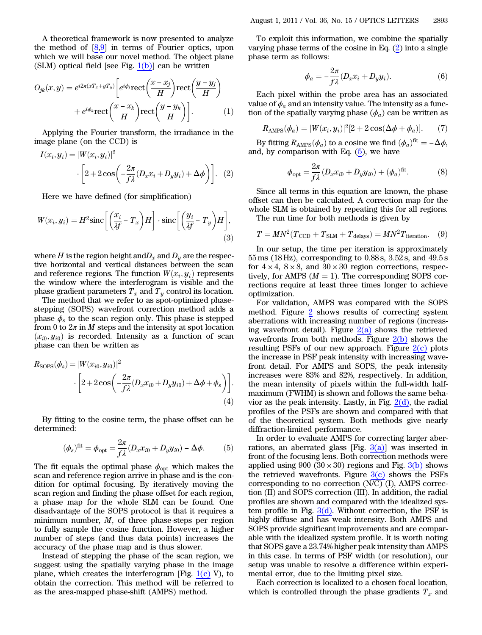A theoretical framework is now presented to analyze the method of [8,9] in terms of Fourier optics, upon which we will base our novel method. The object plane<br>(SLM) optical field [see Fig. 1(b)] can be written<br> $Q_n(x, y) = \frac{i2\pi(xT_n + yT_n)}{2} \left[ \frac{i\phi_{\text{max}}(x - x_j)}{(x - x_j)} \right]$  $(SLM)$  optical field [see Fig.  $1(b)$ ] can be written 1 Fot<br>ethod.<br>)] can<br>x − x<sub>j</sub>

$$
O_{jk}(x, y) = e^{i2\pi(xT_x + yT_y)} \left[ e^{i\phi_j} \text{rect}\left(\frac{x - x_j}{H}\right) \text{rect}\left(\frac{y - y_j}{H}\right) + e^{i\phi_k} \text{rect}\left(\frac{x - x_k}{H}\right) \text{rect}\left(\frac{y - y_k}{H}\right) \right].
$$
 (1)

Applying the Fourier transform, the irradiance in the image plane (on the CCD) is

<span id="page-2-0"></span>
$$
I(x_i, y_i) = |W(x_i, y_i)|^2
$$

$$
\cdot \left[2 + 2\cos\left(-\frac{2\pi}{f\lambda}(D_x x_i + D_y y_i) + \Delta\phi\right)\right]. \quad (2)
$$

Here we have defined (for simplification)

Here we have defined (for simplification)  
\n
$$
W(x_i, y_i) = H^2 \text{sinc}\left[\left(\frac{x_i}{\lambda f} - T_x\right)H\right] \cdot \text{sinc}\left[\left(\frac{y_i}{\lambda f} - T_y\right)H\right],\tag{3}
$$

where H is the region height and  $D_x$  and  $D_y$  are the respective horizontal and vertical distances between the scan and reference regions. The function  $W(x_i, y_i)$  represents the window where the interferogram is visible and the phase gradient parameters  $T_x$  and  $T_y$  control its location.

The method that we refer to as spot-optimized phasestepping (SOPS) wavefront correction method adds a phase  $\phi_s$  to the scan region only. This phase is stepped from 0 to  $2\pi$  in M steps and the intensity at spot location  $(x_{i0}, y_{i0})$  is recorded. Intensity as a function of scan phase can then be written as

$$
R_{\text{SOPS}}(\phi_s) = |W(x_{i0}, y_{i0})|^2
$$

$$
\cdot \left[2 + 2\cos\left(-\frac{2\pi}{f\lambda}(D_x x_{i0} + D_y y_{i0}) + \Delta\phi + \phi_s\right)\right].
$$
  
(4)

By fitting to the cosine term, the phase offset can be<br>termined:<br> $(\phi_s)^{\text{fit}} = \phi_{\text{opt}} = \frac{2\pi}{f\lambda}(D_x x_{i0} + D_y y_{i0}) - \Delta \phi.$  (5) determined:

<span id="page-2-1"></span>
$$
(\phi_s)^{\text{fit}} = \phi_{\text{opt}} = \frac{2\pi}{f\lambda} (D_x x_{i0} + D_y y_{i0}) - \Delta \phi.
$$
 (5)

The fit equals the optimal phase  $\phi_{\text{opt}}$  which makes the scan and reference region arrive in phase and is the condition for optimal focusing. By iteratively moving the scan region and finding the phase offset for each region, a phase map for the whole SLM can be found. One disadvantage of the SOPS protocol is that it requires a minimum number,  $M$ , of three phase-steps per region to fully sample the cosine function. However, a higher number of steps (and thus data points) increases the accuracy of the phase map and is thus slower.

Instead of stepping the phase of the scan region, we suggest using the spatially varying phase in the image plane, which creates the interferogram [Fig.  $1(c)$  V), to obtain the correction. This method will be referred to as the area-mapped phase-shift (AMPS) method.

To exploit this information, we combine the spatially varying phase terms of the cosine in Eq. ([2](#page-2-0)) into a single<br>phase term as follows:<br> $\phi_a = -\frac{2\pi}{f\lambda}(D_x x_i + D_y y_i).$  (6) phase term as follows:

$$
\phi_a = -\frac{2\pi}{f\lambda} (D_x x_i + D_y y_i). \tag{6}
$$

Each pixel within the probe area has an associated value of  $\phi_a$  and an intensity value. The intensity as a function of the spatially varying phase  $(\phi_a)$  can be written as

$$
R_{\text{AMPS}}(\phi_a) = |W(x_i, y_i)|^2 [2 + 2\cos(\Delta\phi + \phi_a)].
$$
 (7)

By fitting  $R_{\text{AMPS}}(\phi_a)$  to a cosine we find  $(\phi_a)^{\text{fit}} = -\Delta \phi$ , and, by comparison with Eq.  $(5)$  $(5)$ , we have

$$
\phi_{\text{opt}} = \frac{2\pi}{f\lambda} (D_x x_{i0} + D_y y_{i0}) + (\phi_a)^{\text{fit}}.
$$
 (8)

<span id="page-2-2"></span>Since all terms in this equation are known, the phase offset can then be calculated. A correction map for the whole SLM is obtained by repeating this for all regions. The run time for both methods is given by

 $T = MN^2(T_{\text{CCD}} + T_{\text{SLM}} + T_{\text{delays}}) = MN^2T_{\text{iteration}}.$  (9)

In our setup, the time per iteration is approximately 55 ms (18 Hz), corresponding to 0:88 s, 3:52 s, and 49:5 s for  $4 \times 4$ ,  $8 \times 8$ , and  $30 \times 30$  region corrections, respectively, for AMPS ( $M = 1$ ). The corresponding SOPS corrections require at least three times longer to achieve optimization.

For validation, AMPS was compared with the SOPS method. Figure [2](#page-3-0) shows results of correcting system aberrations with increasing number of regions (increasing wavefront detail). Figure  $2(a)$  shows the retrieved wavefronts from both methods. Figure  $2(b)$  shows the resulting PSFs of our new approach. Figure  $2(c)$  plots the increase in PSF peak intensity with increasing wavefront detail. For AMPS and SOPS, the peak intensity increases were 83% and 82%, respectively. In addition, the mean intensity of pixels within the full-width halfmaximum (FWHM) is shown and follows the same behavior as the peak intensity. Lastly, in Fig.  $2(d)$ , the radial profiles of the PSFs are shown and compared with that of the theoretical system. Both methods give nearly diffraction-limited performance.

In order to evaluate AMPS for correcting larger aberrations, an aberrated glass [Fig.  $3(a)$ ] was inserted in front of the focusing lens. Both correction methods were applied using 900 (30  $\times$  30) regions and Fig. [3\(b\)](#page-3-2) shows the retrieved wavefronts. Figure  $3(c)$  shows the PSFs corresponding to no correction (N/C) (I), AMPS correction (II) and SOPS correction (III). In addition, the radial profiles are shown and compared with the idealized system profile in Fig.  $3(d)$ . Without correction, the PSF is highly diffuse and has weak intensity. Both AMPS and SOPS provide significant improvements and are comparable with the idealized system profile. It is worth noting that SOPS gave a 23.74% higher peak intensity than AMPS in this case. In terms of PSF width (or resolution), our setup was unable to resolve a difference within experimental error, due to the limiting pixel size.

Each correction is localized to a chosen focal location, which is controlled through the phase gradients  $T_x$  and